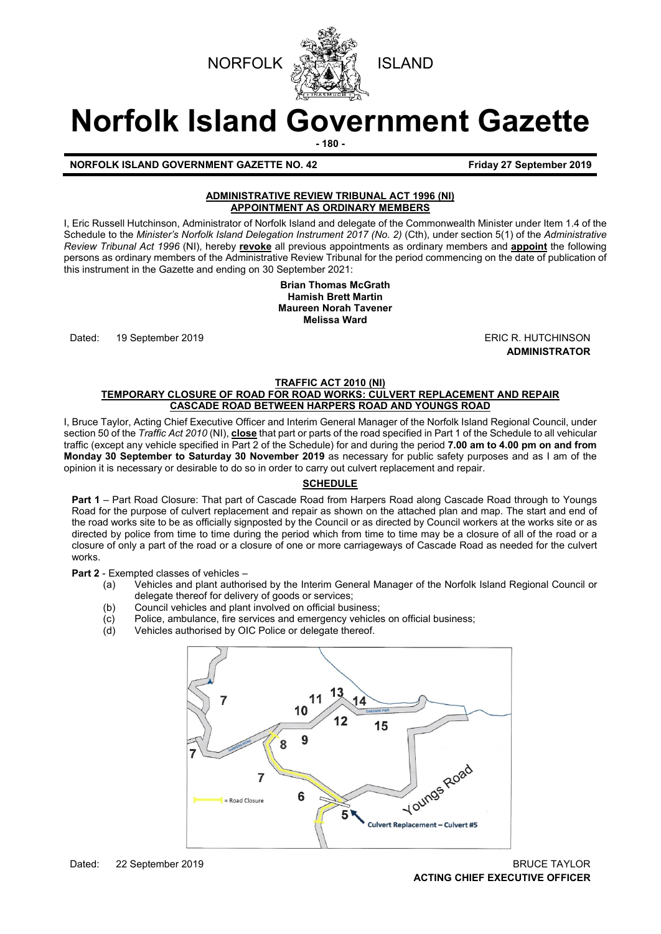



# **Norfolk Island Government Gazette**

**- 180 -**

# **NORFOLK ISLAND GOVERNMENT GAZETTE NO. 42 Friday 27 September 2019**

# **ADMINISTRATIVE REVIEW TRIBUNAL ACT 1996 (NI) APPOINTMENT AS ORDINARY MEMBERS**

I, Eric Russell Hutchinson, Administrator of Norfolk Island and delegate of the Commonwealth Minister under Item 1.4 of the Schedule to the *Minister's Norfolk Island Delegation Instrument 2017 (No. 2)* (Cth), under section 5(1) of the *Administrative Review Tribunal Act 1996* (NI), hereby **revoke** all previous appointments as ordinary members and **appoint** the following persons as ordinary members of the Administrative Review Tribunal for the period commencing on the date of publication of this instrument in the Gazette and ending on 30 September 2021:

> **Brian Thomas McGrath Hamish Brett Martin Maureen Norah Tavener Melissa Ward**

Dated: 19 September 2019 **ERIC R. HUTCHINSON** 

**ADMINISTRATOR**

#### **TRAFFIC ACT 2010 (NI) TEMPORARY CLOSURE OF ROAD FOR ROAD WORKS: CULVERT REPLACEMENT AND REPAIR CASCADE ROAD BETWEEN HARPERS ROAD AND YOUNGS ROAD**

I, Bruce Taylor, Acting Chief Executive Officer and Interim General Manager of the Norfolk Island Regional Council, under section 50 of the *Traffic Act 2010* (NI), **close** that part or parts of the road specified in Part 1 of the Schedule to all vehicular traffic (except any vehicle specified in Part 2 of the Schedule) for and during the period **7.00 am to 4.00 pm on and from Monday 30 September to Saturday 30 November 2019** as necessary for public safety purposes and as I am of the opinion it is necessary or desirable to do so in order to carry out culvert replacement and repair.

# **SCHEDULE**

**Part 1** – Part Road Closure: That part of Cascade Road from Harpers Road along Cascade Road through to Youngs Road for the purpose of culvert replacement and repair as shown on the attached plan and map. The start and end of the road works site to be as officially signposted by the Council or as directed by Council workers at the works site or as directed by police from time to time during the period which from time to time may be a closure of all of the road or a closure of only a part of the road or a closure of one or more carriageways of Cascade Road as needed for the culvert works.

**Part 2** - Exempted classes of vehicles –

- (a) Vehicles and plant authorised by the Interim General Manager of the Norfolk Island Regional Council or delegate thereof for delivery of goods or services;
- (b) Council vehicles and plant involved on official business;
- (c) Police, ambulance, fire services and emergency vehicles on official business;<br>(d) Vehicles authorised by OIC Police or delegate thereof.
- Vehicles authorised by OIC Police or delegate thereof.

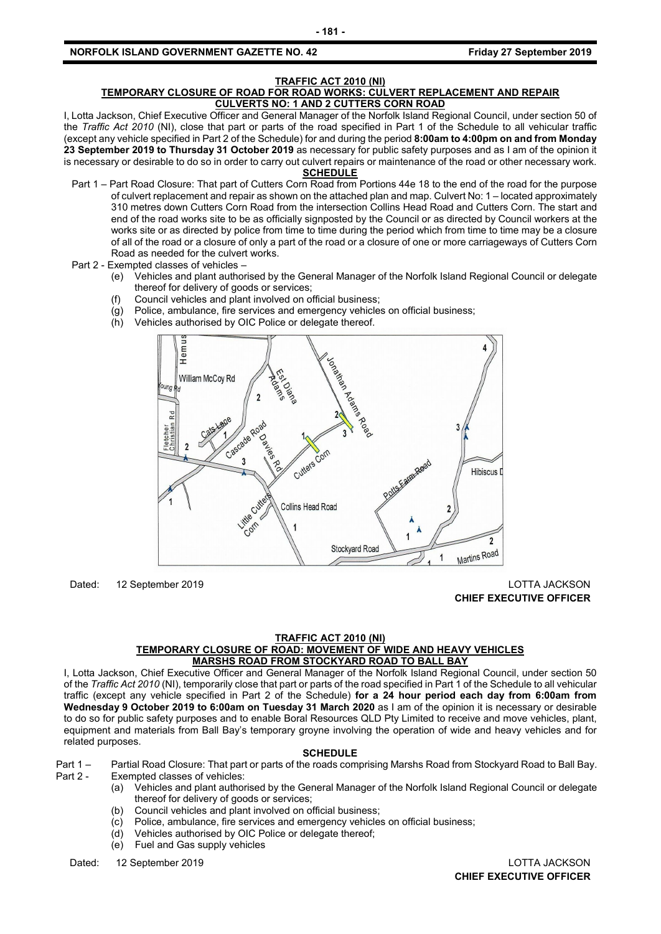#### **TRAFFIC ACT 2010 (NI) TEMPORARY CLOSURE OF ROAD FOR ROAD WORKS: CULVERT REPLACEMENT AND REPAIR CULVERTS NO: 1 AND 2 CUTTERS CORN ROAD**

I, Lotta Jackson, Chief Executive Officer and General Manager of the Norfolk Island Regional Council, under section 50 of the *Traffic Act 2010* (NI), close that part or parts of the road specified in Part 1 of the Schedule to all vehicular traffic (except any vehicle specified in Part 2 of the Schedule) for and during the period **8:00am to 4:00pm on and from Monday 23 September 2019 to Thursday 31 October 2019** as necessary for public safety purposes and as I am of the opinion it is necessary or desirable to do so in order to carry out culvert repairs or maintenance of the road or other necessary work.

# **SCHEDULE**

- Part 1 Part Road Closure: That part of Cutters Corn Road from Portions 44e 18 to the end of the road for the purpose of culvert replacement and repair as shown on the attached plan and map. Culvert No: 1 – located approximately 310 metres down Cutters Corn Road from the intersection Collins Head Road and Cutters Corn. The start and end of the road works site to be as officially signposted by the Council or as directed by Council workers at the works site or as directed by police from time to time during the period which from time to time may be a closure of all of the road or a closure of only a part of the road or a closure of one or more carriageways of Cutters Corn Road as needed for the culvert works.
- Part 2 Exempted classes of vehicles
	- (e) Vehicles and plant authorised by the General Manager of the Norfolk Island Regional Council or delegate thereof for delivery of goods or services;
	- (f) Council vehicles and plant involved on official business;
	- (g) Police, ambulance, fire services and emergency vehicles on official business;
	- (h) Vehicles authorised by OIC Police or delegate thereof.



Dated: 12 September 2019 LOTTA JACKSON **CHIEF EXECUTIVE OFFICER**

#### **TRAFFIC ACT 2010 (NI) TEMPORARY CLOSURE OF ROAD: MOVEMENT OF WIDE AND HEAVY VEHICLES MARSHS ROAD FROM STOCKYARD ROAD TO BALL BAY**

I, Lotta Jackson, Chief Executive Officer and General Manager of the Norfolk Island Regional Council, under section 50 of the *Traffic Act 2010* (NI), temporarily close that part or parts of the road specified in Part 1 of the Schedule to all vehicular traffic (except any vehicle specified in Part 2 of the Schedule) **for a 24 hour period each day from 6:00am from Wednesday 9 October 2019 to 6:00am on Tuesday 31 March 2020** as I am of the opinion it is necessary or desirable to do so for public safety purposes and to enable Boral Resources QLD Pty Limited to receive and move vehicles, plant, equipment and materials from Ball Bay's temporary groyne involving the operation of wide and heavy vehicles and for related purposes.

#### **SCHEDULE**

Part 1 – Partial Road Closure: That part or parts of the roads comprising Marshs Road from Stockyard Road to Ball Bay.<br>Part 2 - Exempted classes of vehicles: Exempted classes of vehicles:

- (a) Vehicles and plant authorised by the General Manager of the Norfolk Island Regional Council or delegate thereof for delivery of goods or services;
- (b) Council vehicles and plant involved on official business;
- (c) Police, ambulance, fire services and emergency vehicles on official business;
- (d) Vehicles authorised by OIC Police or delegate thereof;
- (e) Fuel and Gas supply vehicles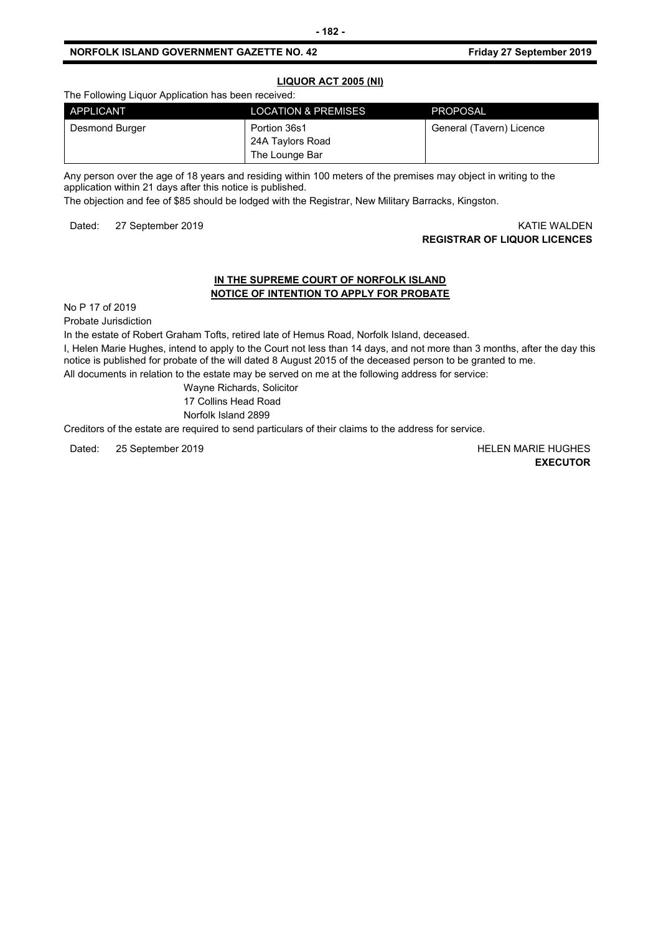# **LIQUOR ACT 2005 (NI)**

The Following Liquor Application has been received:

| APPLICANT      | <b>LOCATION &amp; PREMISES</b>                     | <b>PROPOSAL</b>          |
|----------------|----------------------------------------------------|--------------------------|
| Desmond Burger | Portion 36s1<br>24A Taylors Road<br>The Lounge Bar | General (Tavern) Licence |

Any person over the age of 18 years and residing within 100 meters of the premises may object in writing to the application within 21 days after this notice is published.

The objection and fee of \$85 should be lodged with the Registrar, New Military Barracks, Kingston.

Dated: 27 September 2019 **KATIE WALDEN** 

# **REGISTRAR OF LIQUOR LICENCES**

# **IN THE SUPREME COURT OF NORFOLK ISLAND NOTICE OF INTENTION TO APPLY FOR PROBATE**

No P 17 of 2019

Probate Jurisdiction

In the estate of Robert Graham Tofts, retired late of Hemus Road, Norfolk Island, deceased.

I, Helen Marie Hughes, intend to apply to the Court not less than 14 days, and not more than 3 months, after the day this notice is published for probate of the will dated 8 August 2015 of the deceased person to be granted to me.

All documents in relation to the estate may be served on me at the following address for service:

Wayne Richards, Solicitor 17 Collins Head Road Norfolk Island 2899

Creditors of the estate are required to send particulars of their claims to the address for service.

Dated: 25 September 2019 HELEN MARIE HUGHES

**EXECUTOR**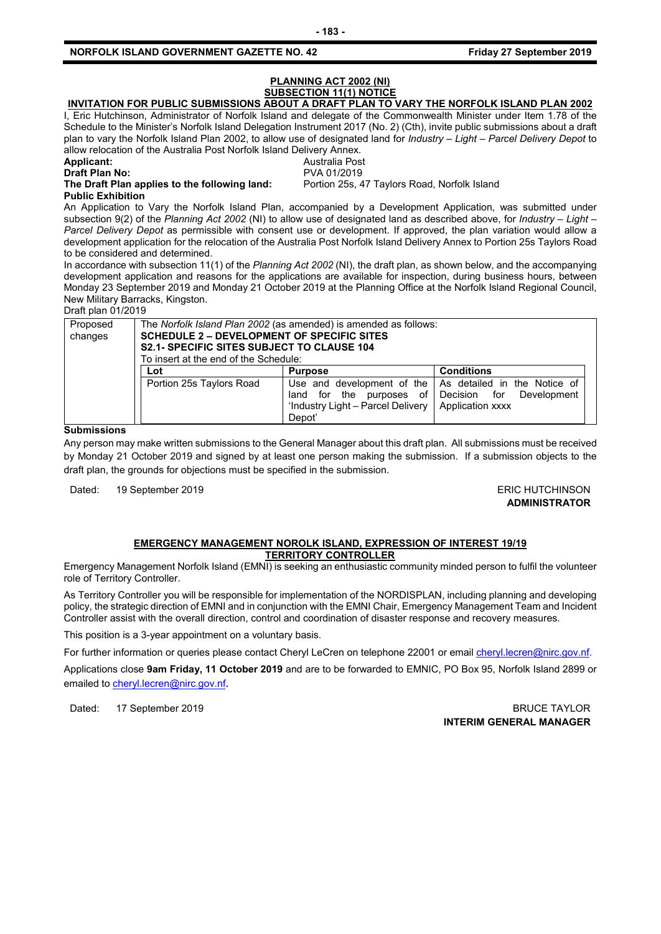# **PLANNING ACT 2002 (NI) SUBSECTION 11(1) NOTICE**

# **INVITATION FOR PUBLIC SUBMISSIONS ABOUT A DRAFT PLAN TO VARY THE NORFOLK ISLAND PLAN 2002**

I, Eric Hutchinson, Administrator of Norfolk Island and delegate of the Commonwealth Minister under Item 1.78 of the Schedule to the Minister's Norfolk Island Delegation Instrument 2017 (No. 2) (Cth), invite public submissions about a draft plan to vary the Norfolk Island Plan 2002, to allow use of designated land for *Industry – Light – Parcel Delivery Depot* to allow relocation of the Australia Post Norfolk Island Delivery Annex.

**Draft Plan No:<br>The Draft Plan applies to the following land:** 

**Applicant:** Australia Post<br> **Draft Plan No:** Australia Post PVA 01/2019 Portion 25s, 47 Taylors Road, Norfolk Island

**Public Exhibition**

An Application to Vary the Norfolk Island Plan, accompanied by a Development Application, was submitted under subsection 9(2) of the *Planning Act 2002* (NI) to allow use of designated land as described above, for *Industry – Light – Parcel Delivery Depot* as permissible with consent use or development. If approved, the plan variation would allow a development application for the relocation of the Australia Post Norfolk Island Delivery Annex to Portion 25s Taylors Road to be considered and determined.

In accordance with subsection 11(1) of the *Planning Act 2002* (NI), the draft plan, as shown below, and the accompanying development application and reasons for the applications are available for inspection, during business hours, between Monday 23 September 2019 and Monday 21 October 2019 at the Planning Office at the Norfolk Island Regional Council, New Military Barracks, Kingston.

Draft plan 01/2019

| Proposed<br>changes | The Norfolk Island Plan 2002 (as amended) is amended as follows:<br><b>SCHEDULE 2 – DEVELOPMENT OF SPECIFIC SITES</b><br><b>S2.1- SPECIFIC SITES SUBJECT TO CLAUSE 104</b><br>To insert at the end of the Schedule: |                                                                           |                                                                                                                     |
|---------------------|---------------------------------------------------------------------------------------------------------------------------------------------------------------------------------------------------------------------|---------------------------------------------------------------------------|---------------------------------------------------------------------------------------------------------------------|
|                     | Lot                                                                                                                                                                                                                 | <b>Purpose</b>                                                            | <b>Conditions</b>                                                                                                   |
|                     | Portion 25s Taylors Road                                                                                                                                                                                            | land for the purposes of<br>'Industry Light - Parcel Delivery  <br>Depot' | Use and development of the   As detailed in the Notice of<br>Decision for<br>Development<br><b>Application xxxx</b> |

## **Submissions**

Any person may make written submissions to the General Manager about this draft plan. All submissions must be received by Monday 21 October 2019 and signed by at least one person making the submission. If a submission objects to the draft plan, the grounds for objections must be specified in the submission.

Dated: 19 September 2019 **ERIC HUTCHINSON** 

**ADMINISTRATOR**

#### **EMERGENCY MANAGEMENT NOROLK ISLAND, EXPRESSION OF INTEREST 19/19 TERRITORY CONTROLLER**

Emergency Management Norfolk Island (EMNI) is seeking an enthusiastic community minded person to fulfil the volunteer role of Territory Controller.

As Territory Controller you will be responsible for implementation of the NORDISPLAN, including planning and developing policy, the strategic direction of EMNI and in conjunction with the EMNI Chair, Emergency Management Team and Incident Controller assist with the overall direction, control and coordination of disaster response and recovery measures.

This position is a 3-year appointment on a voluntary basis.

For further information or queries please contact Cheryl LeCren on telephone 22001 or email [cheryl.lecren@nirc.gov.nf.](mailto:cheryl.lecren@nirc.gov.nf)

Applications close **9am Friday, 11 October 2019** and are to be forwarded to EMNIC, PO Box 95, Norfolk Island 2899 or emailed t[o cheryl.lecren@nirc.gov.nf](mailto:cheryl.lecren@nirc.gov.nf).

Dated: 17 September 2019 **BRUCE TAYLOR INTERIM GENERAL MANAGER**